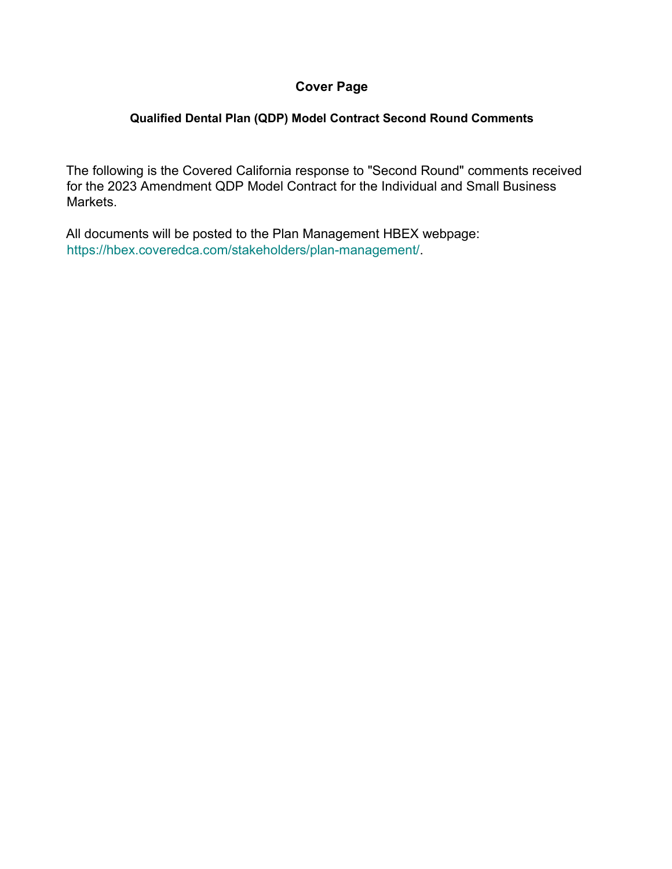## **Cover Page**

## **Qualified Dental Plan (QDP) Model Contract Second Round Comments**

The following is the Covered California response to "Second Round" comments received for the 2023 Amendment QDP Model Contract for the Individual and Small Business Markets.

All documents will be posted to the Plan Management HBEX webpage: https://hbex.coveredca.com/stakeholders/plan-management/.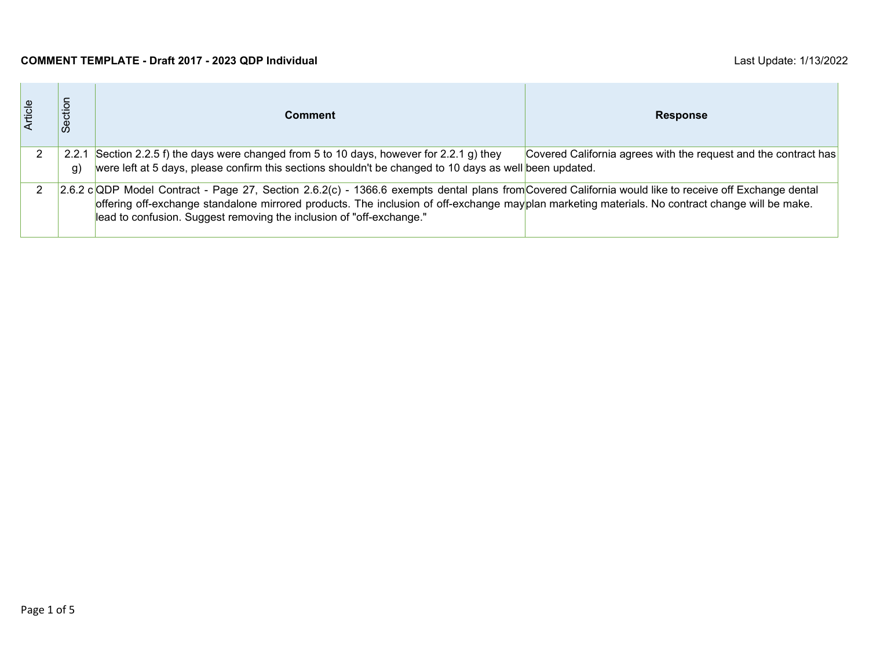## **COMMENT TEMPLATE - Draft 2017 - 2023 QDP Individual** Last Update: 1/13/2022

| Article | Section     | Comment                                                                                                                                                                                                                                                                                                                                                                           | <b>Response</b>                                                 |
|---------|-------------|-----------------------------------------------------------------------------------------------------------------------------------------------------------------------------------------------------------------------------------------------------------------------------------------------------------------------------------------------------------------------------------|-----------------------------------------------------------------|
|         | 2.2.1<br>g) | Section 2.2.5 f) the days were changed from 5 to 10 days, however for 2.2.1 g) they<br>were left at 5 days, please confirm this sections shouldn't be changed to 10 days as well been updated.                                                                                                                                                                                    | Covered California agrees with the request and the contract has |
|         |             | 2.6.2 c QDP Model Contract - Page 27, Section 2.6.2(c) - 1366.6 exempts dental plans from Covered California would like to receive off Exchange dental<br>offering off-exchange standalone mirrored products. The inclusion of off-exchange mayplan marketing materials. No contract change will be make.<br>lead to confusion. Suggest removing the inclusion of "off-exchange." |                                                                 |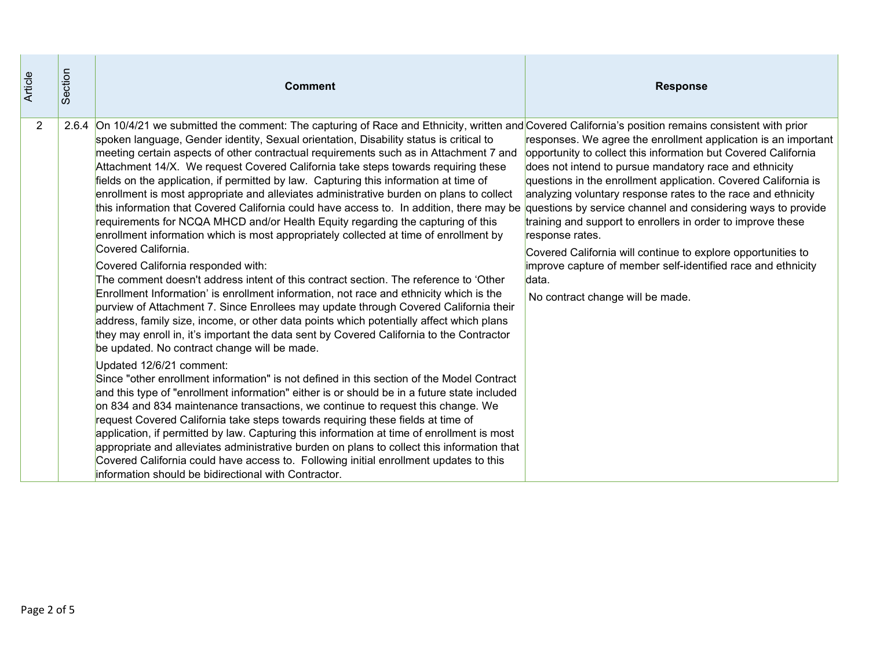| Article        | Section | <b>Comment</b>                                                                                                                                                                                                                                                                                                                                                                                                                                                                                                                                                                                                                                                                                                                                                                                                                                                                                                                                                                                                                                                                                                                                                                                                                                                                                                                                                                                                                                                                                                                                                                                                                                                                                                                                                                                                                                                                                                                                                                                                                                                                                                                                                                                                                                                                    | <b>Response</b>                                                                                                                                                                                                                                                                                                                                                                                                                                                                                                                                                                             |
|----------------|---------|-----------------------------------------------------------------------------------------------------------------------------------------------------------------------------------------------------------------------------------------------------------------------------------------------------------------------------------------------------------------------------------------------------------------------------------------------------------------------------------------------------------------------------------------------------------------------------------------------------------------------------------------------------------------------------------------------------------------------------------------------------------------------------------------------------------------------------------------------------------------------------------------------------------------------------------------------------------------------------------------------------------------------------------------------------------------------------------------------------------------------------------------------------------------------------------------------------------------------------------------------------------------------------------------------------------------------------------------------------------------------------------------------------------------------------------------------------------------------------------------------------------------------------------------------------------------------------------------------------------------------------------------------------------------------------------------------------------------------------------------------------------------------------------------------------------------------------------------------------------------------------------------------------------------------------------------------------------------------------------------------------------------------------------------------------------------------------------------------------------------------------------------------------------------------------------------------------------------------------------------------------------------------------------|---------------------------------------------------------------------------------------------------------------------------------------------------------------------------------------------------------------------------------------------------------------------------------------------------------------------------------------------------------------------------------------------------------------------------------------------------------------------------------------------------------------------------------------------------------------------------------------------|
| $\overline{2}$ |         | 2.6.4 On 10/4/21 we submitted the comment: The capturing of Race and Ethnicity, written and Covered California's position remains consistent with prior<br>spoken language, Gender identity, Sexual orientation, Disability status is critical to<br>meeting certain aspects of other contractual requirements such as in Attachment 7 and<br>Attachment 14/X. We request Covered California take steps towards requiring these<br>fields on the application, if permitted by law. Capturing this information at time of<br>enrollment is most appropriate and alleviates administrative burden on plans to collect<br>this information that Covered California could have access to. In addition, there may be questions by service channel and considering ways to provide<br>requirements for NCQA MHCD and/or Health Equity regarding the capturing of this<br>enrollment information which is most appropriately collected at time of enrollment by<br>Covered California.<br>Covered California responded with:<br>The comment doesn't address intent of this contract section. The reference to 'Other<br>Enrollment Information' is enrollment information, not race and ethnicity which is the<br>purview of Attachment 7. Since Enrollees may update through Covered California their<br>address, family size, income, or other data points which potentially affect which plans<br>they may enroll in, it's important the data sent by Covered California to the Contractor<br>be updated. No contract change will be made.<br>Updated 12/6/21 comment:<br>Since "other enrollment information" is not defined in this section of the Model Contract<br>and this type of "enrollment information" either is or should be in a future state included<br>on 834 and 834 maintenance transactions, we continue to request this change. We<br>request Covered California take steps towards requiring these fields at time of<br>application, if permitted by law. Capturing this information at time of enrollment is most<br>appropriate and alleviates administrative burden on plans to collect this information that<br>Covered California could have access to. Following initial enrollment updates to this<br>information should be bidirectional with Contractor. | responses. We agree the enrollment application is an important<br>opportunity to collect this information but Covered California<br>does not intend to pursue mandatory race and ethnicity<br>questions in the enrollment application. Covered California is<br>analyzing voluntary response rates to the race and ethnicity<br>training and support to enrollers in order to improve these<br>response rates.<br>Covered California will continue to explore opportunities to<br>improve capture of member self-identified race and ethnicity<br>data.<br>No contract change will be made. |
| Page 2 of 5    |         |                                                                                                                                                                                                                                                                                                                                                                                                                                                                                                                                                                                                                                                                                                                                                                                                                                                                                                                                                                                                                                                                                                                                                                                                                                                                                                                                                                                                                                                                                                                                                                                                                                                                                                                                                                                                                                                                                                                                                                                                                                                                                                                                                                                                                                                                                   |                                                                                                                                                                                                                                                                                                                                                                                                                                                                                                                                                                                             |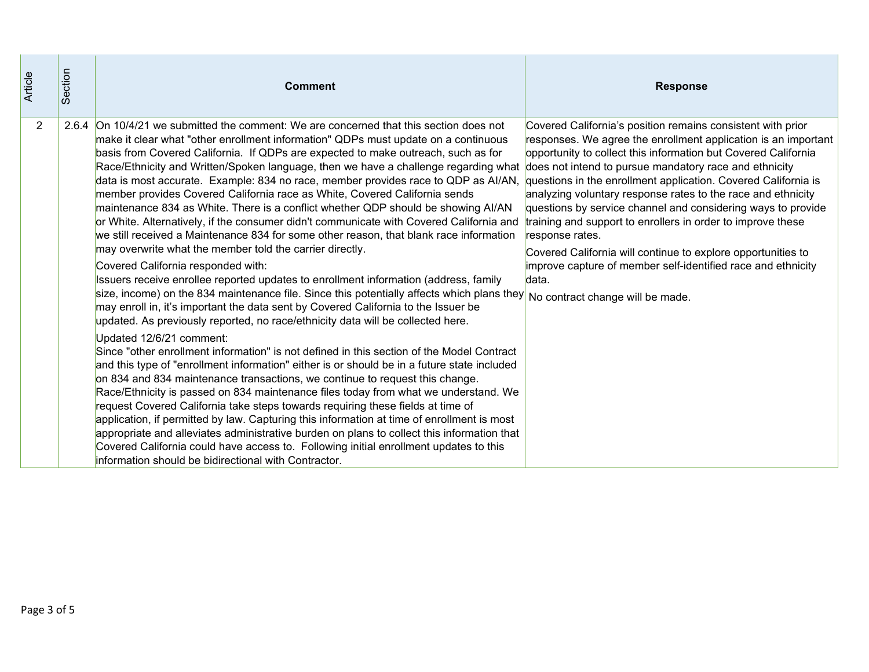| Article        | Section | <b>Comment</b>                                                                                                                                                                                                                                                                                                                                                                                                                                                                                                                                                                                                                                                                                                                                                                                                                                                                                                                                                                                                                                                                                                                                                                                                                                                                                                                                                                                                                                                                                                                                                                                                                                                                                                                                                                                                                                                                                                                                                                                                                                                                                                                                                | <b>Response</b>                                                                                                                                                                                                                                                                                                                                                                                                                                                                                                                                                                                                                                                  |
|----------------|---------|---------------------------------------------------------------------------------------------------------------------------------------------------------------------------------------------------------------------------------------------------------------------------------------------------------------------------------------------------------------------------------------------------------------------------------------------------------------------------------------------------------------------------------------------------------------------------------------------------------------------------------------------------------------------------------------------------------------------------------------------------------------------------------------------------------------------------------------------------------------------------------------------------------------------------------------------------------------------------------------------------------------------------------------------------------------------------------------------------------------------------------------------------------------------------------------------------------------------------------------------------------------------------------------------------------------------------------------------------------------------------------------------------------------------------------------------------------------------------------------------------------------------------------------------------------------------------------------------------------------------------------------------------------------------------------------------------------------------------------------------------------------------------------------------------------------------------------------------------------------------------------------------------------------------------------------------------------------------------------------------------------------------------------------------------------------------------------------------------------------------------------------------------------------|------------------------------------------------------------------------------------------------------------------------------------------------------------------------------------------------------------------------------------------------------------------------------------------------------------------------------------------------------------------------------------------------------------------------------------------------------------------------------------------------------------------------------------------------------------------------------------------------------------------------------------------------------------------|
| $\overline{2}$ |         | 2.6.4 On 10/4/21 we submitted the comment: We are concerned that this section does not<br>make it clear what "other enrollment information" QDPs must update on a continuous<br>basis from Covered California. If QDPs are expected to make outreach, such as for<br>Race/Ethnicity and Written/Spoken language, then we have a challenge regarding what does not intend to pursue mandatory race and ethnicity<br>data is most accurate. Example: 834 no race, member provides race to QDP as Al/AN,<br>member provides Covered California race as White, Covered California sends<br>maintenance 834 as White. There is a conflict whether QDP should be showing AI/AN<br>or White. Alternatively, if the consumer didn't communicate with Covered California and<br>we still received a Maintenance 834 for some other reason, that blank race information<br>may overwrite what the member told the carrier directly.<br>Covered California responded with:<br>Issuers receive enrollee reported updates to enrollment information (address, family<br>size, income) on the 834 maintenance file. Since this potentially affects which plans they<br>may enroll in, it's important the data sent by Covered California to the Issuer be<br>updated. As previously reported, no race/ethnicity data will be collected here.<br>Updated 12/6/21 comment:<br>Since "other enrollment information" is not defined in this section of the Model Contract<br>and this type of "enrollment information" either is or should be in a future state included<br>on 834 and 834 maintenance transactions, we continue to request this change.<br>Race/Ethnicity is passed on 834 maintenance files today from what we understand. We<br>request Covered California take steps towards requiring these fields at time of<br>application, if permitted by law. Capturing this information at time of enrollment is most<br>appropriate and alleviates administrative burden on plans to collect this information that<br>Covered California could have access to. Following initial enrollment updates to this<br>information should be bidirectional with Contractor. | Covered California's position remains consistent with prior<br>responses. We agree the enrollment application is an important<br>opportunity to collect this information but Covered California<br>questions in the enrollment application. Covered California is<br>analyzing voluntary response rates to the race and ethnicity<br>questions by service channel and considering ways to provide<br>training and support to enrollers in order to improve these<br>response rates.<br>Covered California will continue to explore opportunities to<br>improve capture of member self-identified race and ethnicity<br>data.<br>No contract change will be made. |
| Page 3 of 5    |         |                                                                                                                                                                                                                                                                                                                                                                                                                                                                                                                                                                                                                                                                                                                                                                                                                                                                                                                                                                                                                                                                                                                                                                                                                                                                                                                                                                                                                                                                                                                                                                                                                                                                                                                                                                                                                                                                                                                                                                                                                                                                                                                                                               |                                                                                                                                                                                                                                                                                                                                                                                                                                                                                                                                                                                                                                                                  |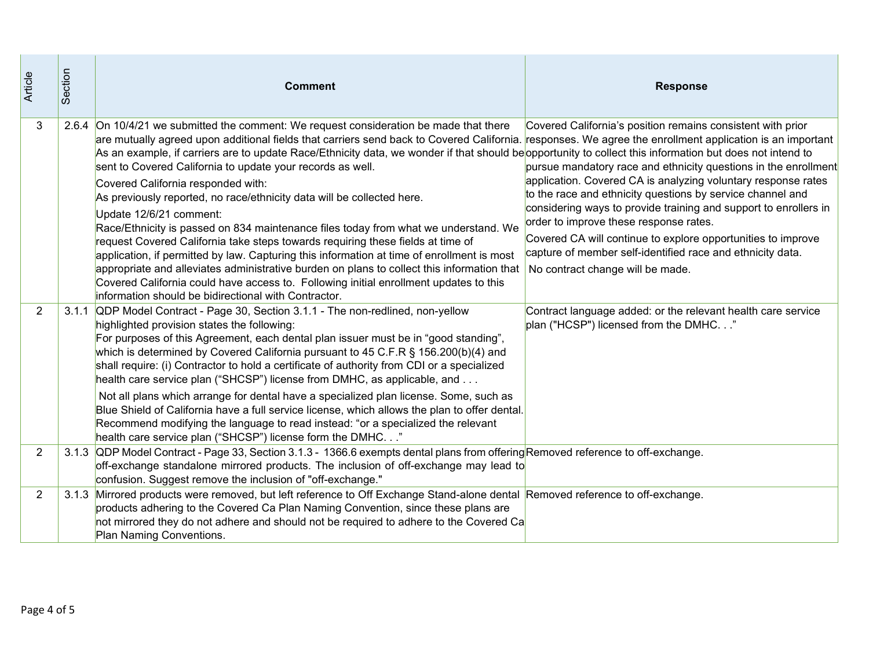| Article        | Section | <b>Comment</b>                                                                                                                                                                                                                                                                                                                                                                                                                                                                                                                                                                                                                                                                                                                                                                                                                                                                                                                                                                                                                                                                                                                                 | <b>Response</b>                                                                                                                                                                                                                                                                                                                                                                                                                                                                                                                               |
|----------------|---------|------------------------------------------------------------------------------------------------------------------------------------------------------------------------------------------------------------------------------------------------------------------------------------------------------------------------------------------------------------------------------------------------------------------------------------------------------------------------------------------------------------------------------------------------------------------------------------------------------------------------------------------------------------------------------------------------------------------------------------------------------------------------------------------------------------------------------------------------------------------------------------------------------------------------------------------------------------------------------------------------------------------------------------------------------------------------------------------------------------------------------------------------|-----------------------------------------------------------------------------------------------------------------------------------------------------------------------------------------------------------------------------------------------------------------------------------------------------------------------------------------------------------------------------------------------------------------------------------------------------------------------------------------------------------------------------------------------|
| 3              |         | 2.6.4 On 10/4/21 we submitted the comment: We request consideration be made that there<br>are mutually agreed upon additional fields that carriers send back to Covered California. responses. We agree the enrollment application is an important<br>As an example, if carriers are to update Race/Ethnicity data, we wonder if that should be opportunity to collect this information but does not intend to<br>sent to Covered California to update your records as well.<br>Covered California responded with:<br>As previously reported, no race/ethnicity data will be collected here.<br>Update 12/6/21 comment:<br>Race/Ethnicity is passed on 834 maintenance files today from what we understand. We<br>request Covered California take steps towards requiring these fields at time of<br>application, if permitted by law. Capturing this information at time of enrollment is most<br>appropriate and alleviates administrative burden on plans to collect this information that<br>Covered California could have access to. Following initial enrollment updates to this<br>information should be bidirectional with Contractor. | Covered California's position remains consistent with prior<br>pursue mandatory race and ethnicity questions in the enrollment<br>application. Covered CA is analyzing voluntary response rates<br>to the race and ethnicity questions by service channel and<br>considering ways to provide training and support to enrollers in<br>order to improve these response rates.<br>Covered CA will continue to explore opportunities to improve<br>capture of member self-identified race and ethnicity data.<br>No contract change will be made. |
| $\overline{2}$ |         | 3.1.1 QDP Model Contract - Page 30, Section 3.1.1 - The non-redlined, non-yellow<br>highlighted provision states the following:<br>For purposes of this Agreement, each dental plan issuer must be in "good standing",<br>which is determined by Covered California pursuant to 45 C.F.R § 156.200(b)(4) and<br>shall require: (i) Contractor to hold a certificate of authority from CDI or a specialized<br>health care service plan ("SHCSP") license from DMHC, as applicable, and<br>Not all plans which arrange for dental have a specialized plan license. Some, such as<br>Blue Shield of California have a full service license, which allows the plan to offer dental.<br>Recommend modifying the language to read instead: "or a specialized the relevant<br>health care service plan ("SHCSP") license form the DMHC."                                                                                                                                                                                                                                                                                                             | Contract language added: or the relevant health care service<br>plan ("HCSP") licensed from the DMHC."                                                                                                                                                                                                                                                                                                                                                                                                                                        |
| 2              |         | 3.1.3 QDP Model Contract - Page 33, Section 3.1.3 - 1366.6 exempts dental plans from offering Removed reference to off-exchange.<br>off-exchange standalone mirrored products. The inclusion of off-exchange may lead to<br>confusion. Suggest remove the inclusion of "off-exchange."                                                                                                                                                                                                                                                                                                                                                                                                                                                                                                                                                                                                                                                                                                                                                                                                                                                         |                                                                                                                                                                                                                                                                                                                                                                                                                                                                                                                                               |
| $\overline{2}$ |         | 3.1.3 Mirrored products were removed, but left reference to Off Exchange Stand-alone dental Removed reference to off-exchange.<br>products adhering to the Covered Ca Plan Naming Convention, since these plans are<br>not mirrored they do not adhere and should not be required to adhere to the Covered Ca<br>Plan Naming Conventions.                                                                                                                                                                                                                                                                                                                                                                                                                                                                                                                                                                                                                                                                                                                                                                                                      |                                                                                                                                                                                                                                                                                                                                                                                                                                                                                                                                               |
| Page 4 of 5    |         |                                                                                                                                                                                                                                                                                                                                                                                                                                                                                                                                                                                                                                                                                                                                                                                                                                                                                                                                                                                                                                                                                                                                                |                                                                                                                                                                                                                                                                                                                                                                                                                                                                                                                                               |